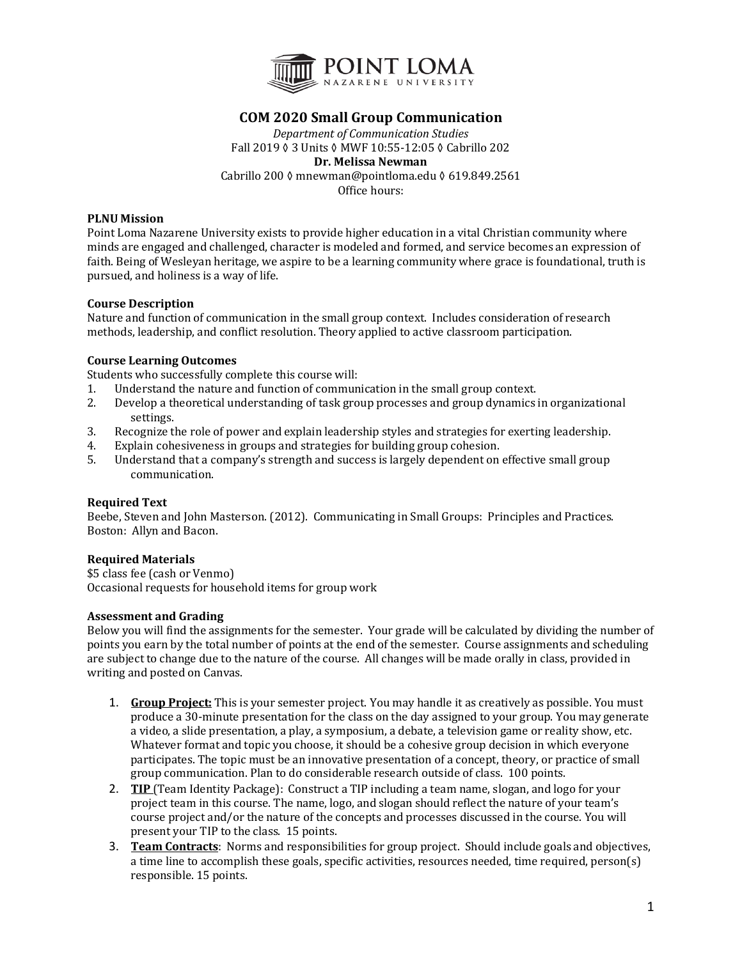

# **COM 2020 Small Group Communication**

*Department of Communication Studies* Fall 2019 ◊ 3 Units ◊ MWF 10:55-12:05 ◊ Cabrillo 202 **Dr. Melissa Newman** Cabrillo 200 ≬ mnewman@pointloma.edu ≬ 619.849.2561 Office hours:

#### **PLNU Mission**

Point Loma Nazarene University exists to provide higher education in a vital Christian community where minds are engaged and challenged, character is modeled and formed, and service becomes an expression of faith. Being of Wesleyan heritage, we aspire to be a learning community where grace is foundational, truth is pursued, and holiness is a way of life.

#### **Course Description**

Nature and function of communication in the small group context. Includes consideration of research methods, leadership, and conflict resolution. Theory applied to active classroom participation.

#### **Course Learning Outcomes**

Students who successfully complete this course will:

- 1. Understand the nature and function of communication in the small group context.
- 2. Develop a theoretical understanding of task group processes and group dynamics in organizational settings.
- 3. Recognize the role of power and explain leadership styles and strategies for exerting leadership.
- 4. Explain cohesiveness in groups and strategies for building group cohesion.
- 5. Understand that a company's strength and success is largely dependent on effective small group communication.

## **Required Text**

Beebe, Steven and John Masterson. (2012). Communicating in Small Groups: Principles and Practices. Boston: Allyn and Bacon.

## **Required Materials**

\$5 class fee (cash or Venmo) Occasional requests for household items for group work

## **Assessment and Grading**

Below you will find the assignments for the semester. Your grade will be calculated by dividing the number of points you earn by the total number of points at the end of the semester. Course assignments and scheduling are subject to change due to the nature of the course. All changes will be made orally in class, provided in writing and posted on Canvas.

- 1. **Group Project:** This is your semester project. You may handle it as creatively as possible. You must produce a 30-minute presentation for the class on the day assigned to your group. You may generate a video, a slide presentation, a play, a symposium, a debate, a television game or reality show, etc. Whatever format and topic you choose, it should be a cohesive group decision in which everyone participates. The topic must be an innovative presentation of a concept, theory, or practice of small group communication. Plan to do considerable research outside of class. 100 points.
- 2. **TIP** (Team Identity Package): Construct a TIP including a team name, slogan, and logo for your project team in this course. The name, logo, and slogan should reflect the nature of your team's course project and/or the nature of the concepts and processes discussed in the course. You will present your TIP to the class. 15 points.
- 3. Team Contracts: Norms and responsibilities for group project. Should include goals and objectives, a time line to accomplish these goals, specific activities, resources needed, time required, person(s) responsible. 15 points.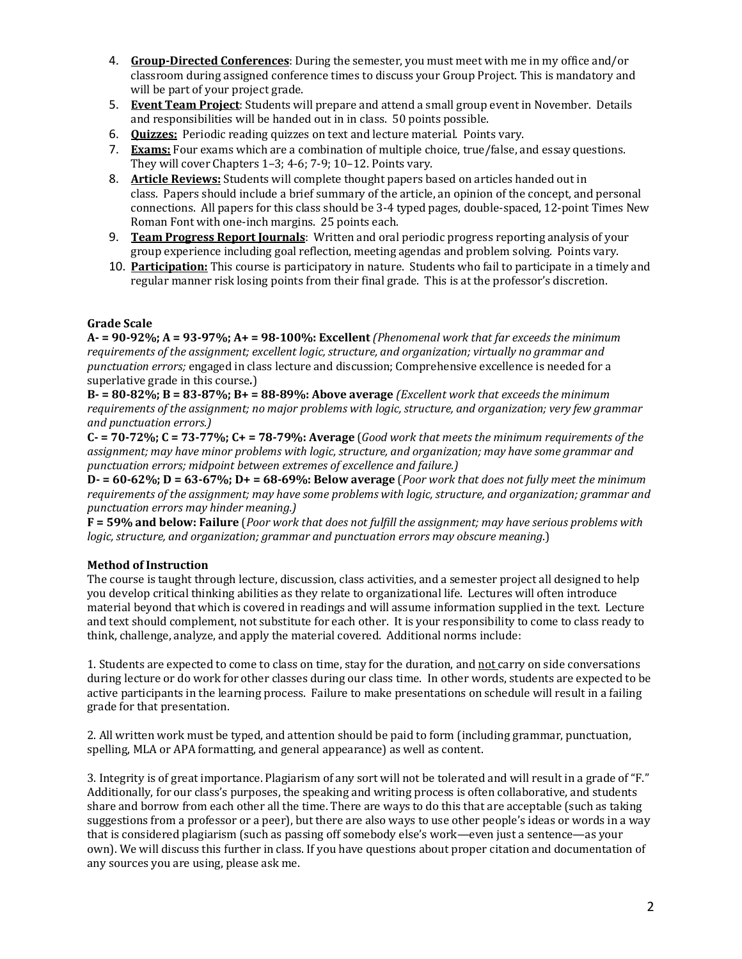- 4. Group-Directed Conferences: During the semester, you must meet with me in my office and/or classroom during assigned conference times to discuss your Group Project. This is mandatory and will be part of your project grade.
- 5. **Event Team Project**: Students will prepare and attend a small group event in November. Details and responsibilities will be handed out in in class. 50 points possible.
- 6. **Quizzes:** Periodic reading quizzes on text and lecture material. Points vary.
- 7. **Exams:** Four exams which are a combination of multiple choice, true/false, and essay questions. They will cover Chapters  $1-3$ ;  $4-6$ ;  $7-9$ ;  $10-12$ . Points vary.
- 8. **Article Reviews:** Students will complete thought papers based on articles handed out in class. Papers should include a brief summary of the article, an opinion of the concept, and personal connections. All papers for this class should be 3-4 typed pages, double-spaced, 12-point Times New Roman Font with one-inch margins. 25 points each.
- 9. **Team Progress Report Journals**: Written and oral periodic progress reporting analysis of your group experience including goal reflection, meeting agendas and problem solving. Points vary.
- 10. Participation: This course is participatory in nature. Students who fail to participate in a timely and regular manner risk losing points from their final grade. This is at the professor's discretion.

## **Grade Scale**

 $A = 90-92\%$ ;  $A = 93-97\%$ ;  $A = 98-100\%$ ; Excellent *(Phenomenal work that far exceeds the minimum requirements of the assignment; excellent logic, structure, and organization; virtually no grammar and punctuation errors;* engaged in class lecture and discussion; Comprehensive excellence is needed for a superlative grade in this course.)

 $B = 80-82\%$ ;  $B = 83-87\%$ ;  $B = 88-89\%$ : Above average *(Excellent work that exceeds the minimum* requirements of the assignment; no major problems with logic, structure, and organization; very few grammar *and punctuation errors.)*

 $C - 70 - 72\%$ ;  $C = 73 - 77\%$ ;  $C + 78 - 79\%$ : Average (*Good work that meets the minimum requirements of the* assignment; may have minor problems with logic, structure, and organization; may have some grammar and *punctuation errors; midpoint between extremes of excellence and failure.)*

 $D = 60-62\%$ ;  $D = 63-67\%$ ;  $D = 68-69\%$ : Below average (*Poor work that does not fully meet the minimum requirements of the assignment; may have some problems with logic, structure, and organization; grammar and punctuation errors may hinder meaning.)*

**F** = 59% and below: Failure (*Poor work that does not fulfill the assignment; may have serious problems with logic,* structure, and organization; grammar and punctuation errors may obscure meaning.)

## **Method of Instruction**

The course is taught through lecture, discussion, class activities, and a semester project all designed to help you develop critical thinking abilities as they relate to organizational life. Lectures will often introduce material beyond that which is covered in readings and will assume information supplied in the text. Lecture and text should complement, not substitute for each other. It is your responsibility to come to class ready to think, challenge, analyze, and apply the material covered. Additional norms include:

1. Students are expected to come to class on time, stay for the duration, and not carry on side conversations during lecture or do work for other classes during our class time. In other words, students are expected to be active participants in the learning process. Failure to make presentations on schedule will result in a failing grade for that presentation.

2. All written work must be typed, and attention should be paid to form (including grammar, punctuation, spelling, MLA or APA formatting, and general appearance) as well as content.

3. Integrity is of great importance. Plagiarism of any sort will not be tolerated and will result in a grade of "F." Additionally, for our class's purposes, the speaking and writing process is often collaborative, and students share and borrow from each other all the time. There are ways to do this that are acceptable (such as taking suggestions from a professor or a peer), but there are also ways to use other people's ideas or words in a way that is considered plagiarism (such as passing off somebody else's work—even just a sentence—as your own). We will discuss this further in class. If you have questions about proper citation and documentation of any sources you are using, please ask me.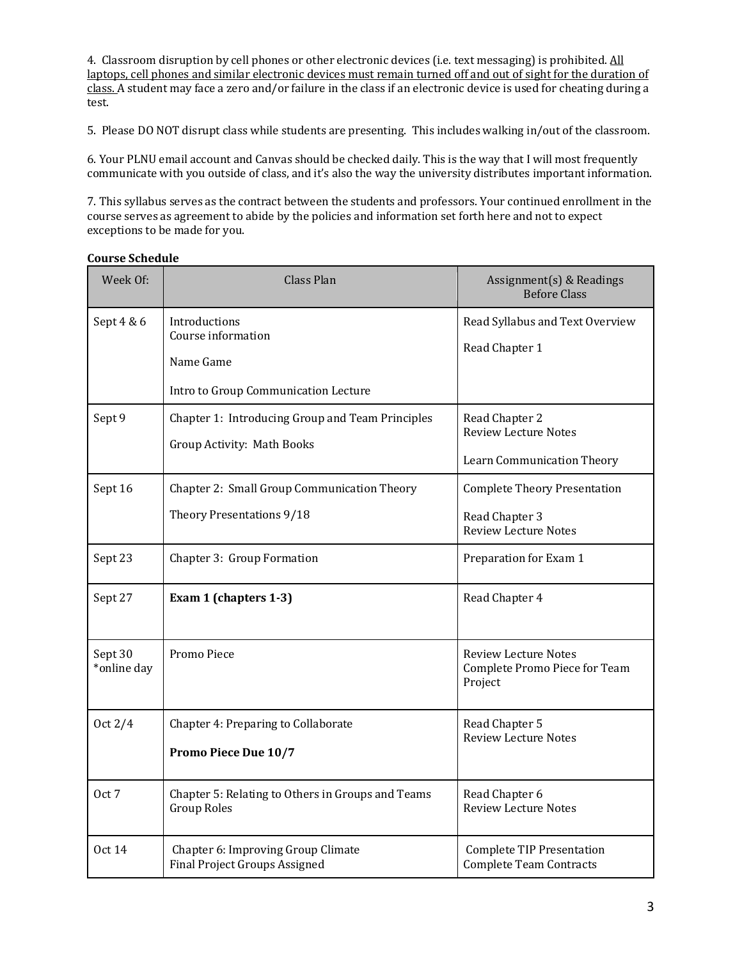4. Classroom disruption by cell phones or other electronic devices (i.e. text messaging) is prohibited. All laptops, cell phones and similar electronic devices must remain turned off and out of sight for the duration of class. A student may face a zero and/or failure in the class if an electronic device is used for cheating during a test.

5. Please DO NOT disrupt class while students are presenting. This includes walking in/out of the classroom.

6. Your PLNU email account and Canvas should be checked daily. This is the way that I will most frequently communicate with you outside of class, and it's also the way the university distributes important information.

7. This syllabus serves as the contract between the students and professors. Your continued enrollment in the course serves as agreement to abide by the policies and information set forth here and not to expect exceptions to be made for you.

**Course Schedule**

| Week Of:               | <b>Class Plan</b>                                                                        | Assignment(s) & Readings<br><b>Before Class</b>                                      |
|------------------------|------------------------------------------------------------------------------------------|--------------------------------------------------------------------------------------|
| Sept 4 & 6             | Introductions<br>Course information<br>Name Game<br>Intro to Group Communication Lecture | Read Syllabus and Text Overview<br>Read Chapter 1                                    |
| Sept 9                 | Chapter 1: Introducing Group and Team Principles<br>Group Activity: Math Books           | Read Chapter 2<br><b>Review Lecture Notes</b><br>Learn Communication Theory          |
| Sept 16                | Chapter 2: Small Group Communication Theory<br>Theory Presentations 9/18                 | <b>Complete Theory Presentation</b><br>Read Chapter 3<br><b>Review Lecture Notes</b> |
| Sept 23                | Chapter 3: Group Formation                                                               | Preparation for Exam 1                                                               |
| Sept 27                | Exam 1 (chapters 1-3)                                                                    | Read Chapter 4                                                                       |
| Sept 30<br>*online day | Promo Piece                                                                              | <b>Review Lecture Notes</b><br>Complete Promo Piece for Team<br>Project              |
| Oct $2/4$              | Chapter 4: Preparing to Collaborate<br>Promo Piece Due 10/7                              | Read Chapter 5<br>Review Lecture Notes                                               |
| Oct 7                  | Chapter 5: Relating to Others in Groups and Teams<br><b>Group Roles</b>                  | Read Chapter 6<br><b>Review Lecture Notes</b>                                        |
| <b>Oct 14</b>          | Chapter 6: Improving Group Climate<br><b>Final Project Groups Assigned</b>               | <b>Complete TIP Presentation</b><br><b>Complete Team Contracts</b>                   |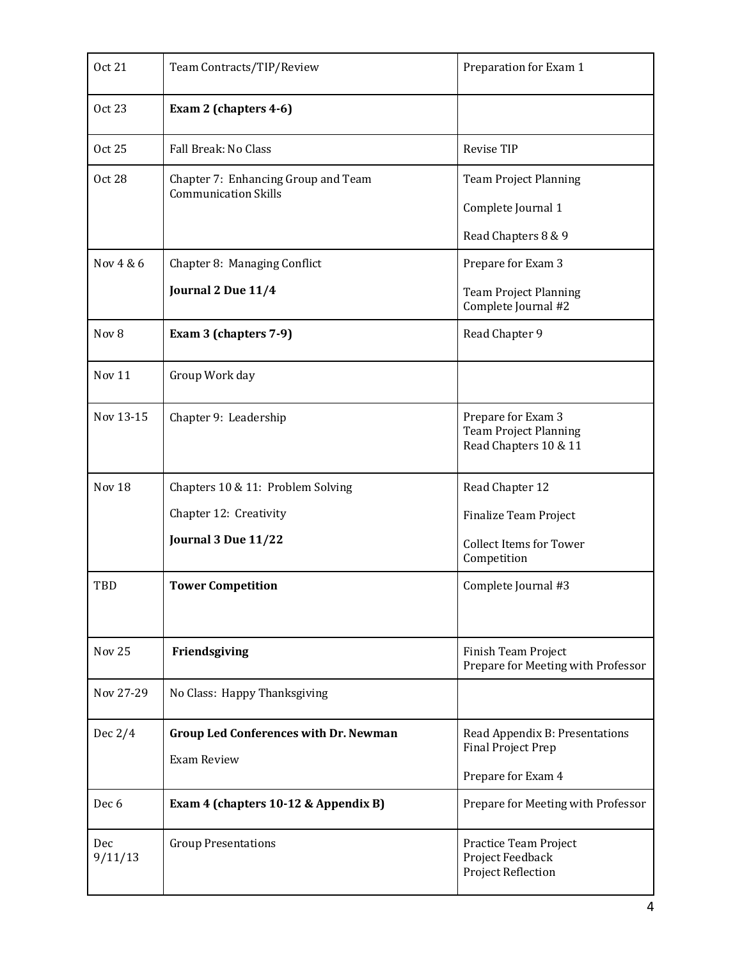| <b>Oct 21</b>     | Team Contracts/TIP/Review                                          | Preparation for Exam 1                                                      |
|-------------------|--------------------------------------------------------------------|-----------------------------------------------------------------------------|
| <b>Oct 23</b>     | Exam 2 (chapters 4-6)                                              |                                                                             |
| <b>Oct 25</b>     | Fall Break: No Class                                               | Revise TIP                                                                  |
| <b>Oct 28</b>     | Chapter 7: Enhancing Group and Team<br><b>Communication Skills</b> | <b>Team Project Planning</b>                                                |
|                   |                                                                    | Complete Journal 1                                                          |
|                   |                                                                    | Read Chapters 8 & 9                                                         |
| Nov 4 & 6         | Chapter 8: Managing Conflict                                       | Prepare for Exam 3                                                          |
|                   | Journal 2 Due 11/4                                                 | <b>Team Project Planning</b><br>Complete Journal #2                         |
| Nov 8             | Exam 3 (chapters 7-9)                                              | Read Chapter 9                                                              |
| Nov 11            | Group Work day                                                     |                                                                             |
| Nov 13-15         | Chapter 9: Leadership                                              | Prepare for Exam 3<br><b>Team Project Planning</b><br>Read Chapters 10 & 11 |
| Nov <sub>18</sub> | Chapters 10 & 11: Problem Solving                                  | Read Chapter 12                                                             |
|                   | Chapter 12: Creativity                                             | Finalize Team Project                                                       |
|                   | Journal 3 Due 11/22                                                | <b>Collect Items for Tower</b><br>Competition                               |
| TBD               | <b>Tower Competition</b>                                           | Complete Journal #3                                                         |
| Nov <sub>25</sub> | Friendsgiving                                                      | Finish Team Project<br>Prepare for Meeting with Professor                   |
| Nov 27-29         | No Class: Happy Thanksgiving                                       |                                                                             |
| Dec $2/4$         | <b>Group Led Conferences with Dr. Newman</b>                       | Read Appendix B: Presentations<br>Final Project Prep                        |
|                   | <b>Exam Review</b>                                                 | Prepare for Exam 4                                                          |
| Dec 6             | Exam 4 (chapters 10-12 & Appendix B)                               | Prepare for Meeting with Professor                                          |
|                   |                                                                    |                                                                             |
| Dec<br>9/11/13    | <b>Group Presentations</b>                                         | Practice Team Project<br>Project Feedback<br><b>Project Reflection</b>      |